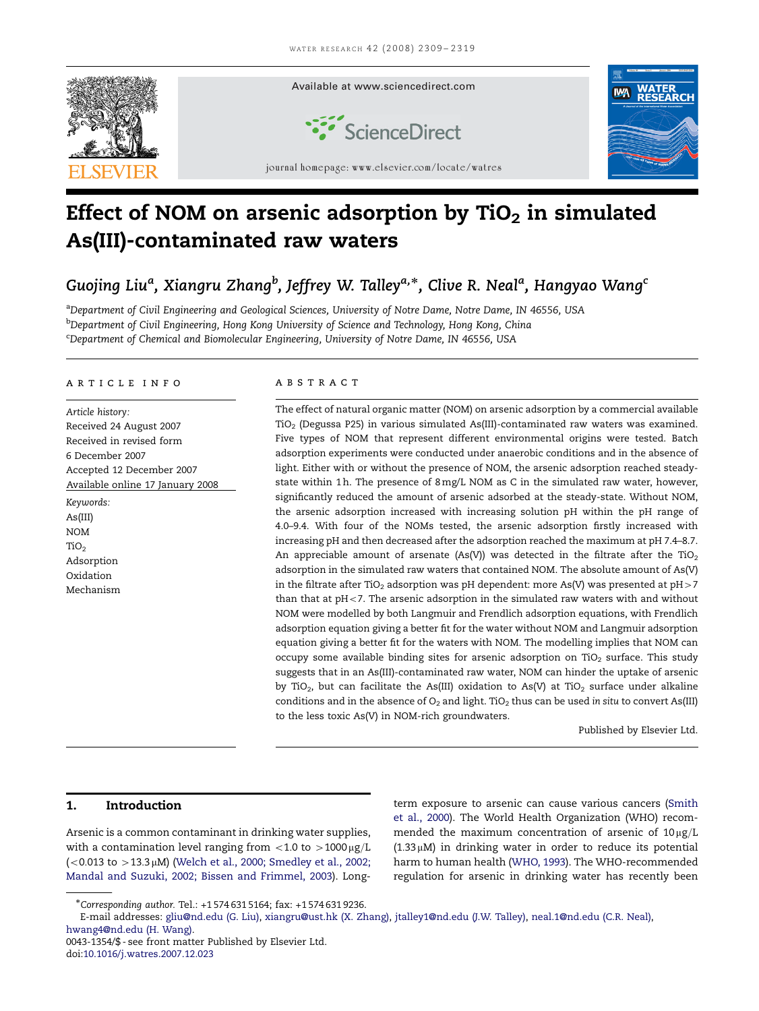

# Effect of NOM on arsenic adsorption by  $TiO<sub>2</sub>$  in simulated As(III)-contaminated raw waters

## Guojing Liu<sup>a</sup>, Xiangru Zhang<sup>b</sup>, Jeffrey W. Talley<sup>a,</sup>\*, Clive R. Neal<sup>a</sup>, Hangyao Wang<sup>c</sup>

<sup>a</sup>Department of Civil Engineering and Geological Sciences, University of Notre Dame, Notre Dame, IN 46556, USA <sup>b</sup>Department of Civil Engineering, Hong Kong University of Science and Technology, Hong Kong, China <sup>c</sup>Department of Chemical and Biomolecular Engineering, University of Notre Dame, IN 46556, USA

#### article info

Article history: Received 24 August 2007 Received in revised form 6 December 2007 Accepted 12 December 2007 Available online 17 January 2008

Keywords: As(III) NOM TiO<sub>2</sub> Adsorption Oxidation Mechanism

## **ARSTRACT**

The effect of natural organic matter (NOM) on arsenic adsorption by a commercial available TiO2 (Degussa P25) in various simulated As(III)-contaminated raw waters was examined. Five types of NOM that represent different environmental origins were tested. Batch adsorption experiments were conducted under anaerobic conditions and in the absence of light. Either with or without the presence of NOM, the arsenic adsorption reached steadystate within 1h. The presence of  $8$  mg/L NOM as C in the simulated raw water, however, significantly reduced the amount of arsenic adsorbed at the steady-state. Without NOM, the arsenic adsorption increased with increasing solution pH within the pH range of 4.0–9.4. With four of the NOMs tested, the arsenic adsorption firstly increased with increasing pH and then decreased after the adsorption reached the maximum at pH 7.4–8.7. An appreciable amount of arsenate (As(V)) was detected in the filtrate after the  $TiO<sub>2</sub>$ adsorption in the simulated raw waters that contained NOM. The absolute amount of As(V) in the filtrate after TiO<sub>2</sub> adsorption was pH dependent: more As(V) was presented at  $pH>7$ than that at  $pH<7$ . The arsenic adsorption in the simulated raw waters with and without NOM were modelled by both Langmuir and Frendlich adsorption equations, with Frendlich adsorption equation giving a better fit for the water without NOM and Langmuir adsorption equation giving a better fit for the waters with NOM. The modelling implies that NOM can occupy some available binding sites for arsenic adsorption on TiO<sub>2</sub> surface. This study suggests that in an As(III)-contaminated raw water, NOM can hinder the uptake of arsenic by TiO<sub>2</sub>, but can facilitate the As(III) oxidation to As(V) at TiO<sub>2</sub> surface under alkaline conditions and in the absence of  $O_2$  and light. TiO<sub>2</sub> thus can be used in situ to convert As(III) to the less toxic As(V) in NOM-rich groundwaters.

Published by Elsevier Ltd.

## 1. Introduction

Arsenic is a common contaminant in drinking water supplies, with a contamination level ranging from  $<$  1.0 to  $>$  1000  $\mu$ g/L  $(<0.013$  to  $>13.3 \mu$ M) [\(Welch et al., 2000; Smedley et al., 2002;](#page-10-0) [Mandal and Suzuki, 2002; Bissen and Frimmel, 2003\)](#page-10-0). Longterm exposure to arsenic can cause various cancers ([Smith](#page-10-0) [et al., 2000\)](#page-10-0). The World Health Organization (WHO) recommended the maximum concentration of arsenic of  $10 \mu g/L$  $(1.33 \mu)$  in drinking water in order to reduce its potential harm to human health ([WHO, 1993\)](#page-10-0). The WHO-recommended regulation for arsenic in drinking water has recently been

E-mail addresses: [gliu@nd.edu \(G. Liu\)](mailto:gliu@nd.edu), [xiangru@ust.hk \(X. Zhang\),](mailto:xiangru@ust.hk) [jtalley1@nd.edu \(J.W. Talley\),](mailto:jtalley1@nd.edu) [neal.1@nd.edu \(C.R. Neal\)](mailto:neal.1@nd.edu), [hwang4@nd.edu \(H. Wang\).](mailto:hwang4@nd.edu)

0043-1354/\$ - see front matter Published by Elsevier Ltd. doi[:10.1016/j.watres.2007.12.023](dx.doi.org/10.1016/j.watres.2007.12.023)

<sup>-</sup>Corresponding author. Tel.: +1 574 631 5164; fax: +1 574 631 9236.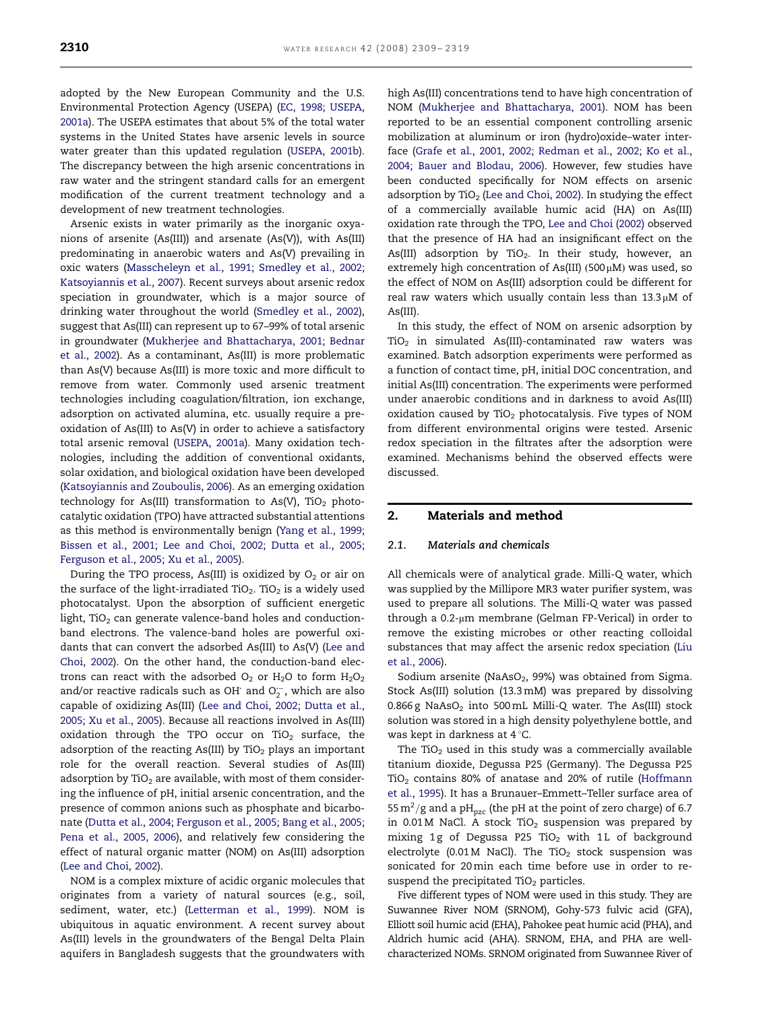adopted by the New European Community and the U.S. Environmental Protection Agency (USEPA) ([EC, 1998; USEPA,](#page-9-0) [2001a](#page-9-0)). The USEPA estimates that about 5% of the total water systems in the United States have arsenic levels in source water greater than this updated regulation [\(USEPA, 2001b\)](#page-10-0). The discrepancy between the high arsenic concentrations in raw water and the stringent standard calls for an emergent modification of the current treatment technology and a development of new treatment technologies.

Arsenic exists in water primarily as the inorganic oxyanions of arsenite (As(III)) and arsenate (As(V)), with As(III) predominating in anaerobic waters and As(V) prevailing in oxic waters [\(Masscheleyn et al., 1991; Smedley et al., 2002;](#page-10-0) [Katsoyiannis et al., 2007](#page-10-0)). Recent surveys about arsenic redox speciation in groundwater, which is a major source of drinking water throughout the world ([Smedley et al., 2002\)](#page-10-0), suggest that As(III) can represent up to 67–99% of total arsenic in groundwater ([Mukherjee and Bhattacharya, 2001; Bednar](#page-10-0) [et al., 2002](#page-10-0)). As a contaminant, As(III) is more problematic than As(V) because As(III) is more toxic and more difficult to remove from water. Commonly used arsenic treatment technologies including coagulation/filtration, ion exchange, adsorption on activated alumina, etc. usually require a preoxidation of As(III) to As(V) in order to achieve a satisfactory total arsenic removal ([USEPA, 2001a\)](#page-10-0). Many oxidation technologies, including the addition of conventional oxidants, solar oxidation, and biological oxidation have been developed ([Katsoyiannis and Zouboulis, 2006\)](#page-9-0). As an emerging oxidation technology for As(III) transformation to As(V), TiO<sub>2</sub> photocatalytic oxidation (TPO) have attracted substantial attentions as this method is environmentally benign [\(Yang et al., 1999;](#page-10-0) [Bissen et al., 2001; Lee and Choi, 2002; Dutta et al., 2005;](#page-10-0) [Ferguson et al., 2005; Xu et al., 2005](#page-10-0)).

During the TPO process, As(III) is oxidized by  $O_2$  or air on the surface of the light-irradiated TiO<sub>2</sub>. TiO<sub>2</sub> is a widely used photocatalyst. Upon the absorption of sufficient energetic light, TiO<sub>2</sub> can generate valence-band holes and conductionband electrons. The valence-band holes are powerful oxidants that can convert the adsorbed As(III) to As(V) ([Lee and](#page-9-0) [Choi, 2002\)](#page-9-0). On the other hand, the conduction-band electrons can react with the adsorbed  $O_2$  or H<sub>2</sub>O to form H<sub>2</sub>O<sub>2</sub> and/or reactive radicals such as OH and  $O_2^-$ , which are also capable of oxidizing As(III) [\(Lee and Choi, 2002; Dutta et al.,](#page-9-0) [2005; Xu et al., 2005](#page-9-0)). Because all reactions involved in As(III) oxidation through the TPO occur on TiO<sub>2</sub> surface, the adsorption of the reacting As(III) by  $TiO<sub>2</sub>$  plays an important role for the overall reaction. Several studies of As(III) adsorption by TiO<sub>2</sub> are available, with most of them considering the influence of pH, initial arsenic concentration, and the presence of common anions such as phosphate and bicarbonate [\(Dutta et al., 2004; Ferguson et al., 2005; Bang et al., 2005;](#page-9-0) [Pena et al., 2005, 2006](#page-9-0)), and relatively few considering the effect of natural organic matter (NOM) on As(III) adsorption ([Lee and Choi, 2002](#page-9-0)).

NOM is a complex mixture of acidic organic molecules that originates from a variety of natural sources (e.g., soil, sediment, water, etc.) ([Letterman et al., 1999](#page-9-0)). NOM is ubiquitous in aquatic environment. A recent survey about As(III) levels in the groundwaters of the Bengal Delta Plain aquifers in Bangladesh suggests that the groundwaters with

high As(III) concentrations tend to have high concentration of NOM [\(Mukherjee and Bhattacharya, 2001\)](#page-10-0). NOM has been reported to be an essential component controlling arsenic mobilization at aluminum or iron (hydro)oxide–water interface [\(Grafe et al., 2001, 2002; Redman et al., 2002; Ko et al.,](#page-9-0) [2004; Bauer and Blodau, 2006\)](#page-9-0). However, few studies have been conducted specifically for NOM effects on arsenic adsorption by  $TiO<sub>2</sub>$  [\(Lee and Choi, 2002\)](#page-9-0). In studying the effect of a commercially available humic acid (HA) on As(III) oxidation rate through the TPO, [Lee and Choi \(2002\)](#page-9-0) observed that the presence of HA had an insignificant effect on the As(III) adsorption by TiO<sub>2</sub>. In their study, however, an extremely high concentration of As(III)  $(500 \,\mu\text{M})$  was used, so the effect of NOM on As(III) adsorption could be different for real raw waters which usually contain less than  $13.3 \mu M$  of As(III).

In this study, the effect of NOM on arsenic adsorption by  $TiO<sub>2</sub>$  in simulated As(III)-contaminated raw waters was examined. Batch adsorption experiments were performed as a function of contact time, pH, initial DOC concentration, and initial As(III) concentration. The experiments were performed under anaerobic conditions and in darkness to avoid As(III) oxidation caused by  $TiO<sub>2</sub>$  photocatalysis. Five types of NOM from different environmental origins were tested. Arsenic redox speciation in the filtrates after the adsorption were examined. Mechanisms behind the observed effects were discussed.

## 2. Materials and method

#### 2.1. Materials and chemicals

All chemicals were of analytical grade. Milli-Q water, which was supplied by the Millipore MR3 water purifier system, was used to prepare all solutions. The Milli-Q water was passed through a 0.2-µm membrane (Gelman FP-Verical) in order to remove the existing microbes or other reacting colloidal substances that may affect the arsenic redox speciation [\(Liu](#page-9-0) [et al., 2006](#page-9-0)).

Sodium arsenite (NaAsO<sub>2</sub>, 99%) was obtained from Sigma. Stock As(III) solution (13.3mM) was prepared by dissolving 0.866 g NaAsO<sub>2</sub> into 500 mL Milli-Q water. The As(III) stock solution was stored in a high density polyethylene bottle, and was kept in darkness at  $4^{\circ}$ C.

The TiO<sub>2</sub> used in this study was a commercially available titanium dioxide, Degussa P25 (Germany). The Degussa P25  $TiO<sub>2</sub>$  contains 80% of anatase and 20% of rutile [\(Hoffmann](#page-9-0) [et al., 1995](#page-9-0)). It has a Brunauer–Emmett–Teller surface area of 55 m<sup>2</sup>/g and a pH<sub>pzc</sub> (the pH at the point of zero charge) of 6.7 in  $0.01$  M NaCl. A stock TiO<sub>2</sub> suspension was prepared by mixing 1g of Degussa P25 TiO<sub>2</sub> with 1L of background electrolyte (0.01 M NaCl). The TiO<sub>2</sub> stock suspension was sonicated for 20min each time before use in order to resuspend the precipitated  $TiO<sub>2</sub>$  particles.

Five different types of NOM were used in this study. They are Suwannee River NOM (SRNOM), Gohy-573 fulvic acid (GFA), Elliott soil humic acid (EHA), Pahokee peat humic acid (PHA), and Aldrich humic acid (AHA). SRNOM, EHA, and PHA are wellcharacterized NOMs. SRNOM originated from Suwannee River of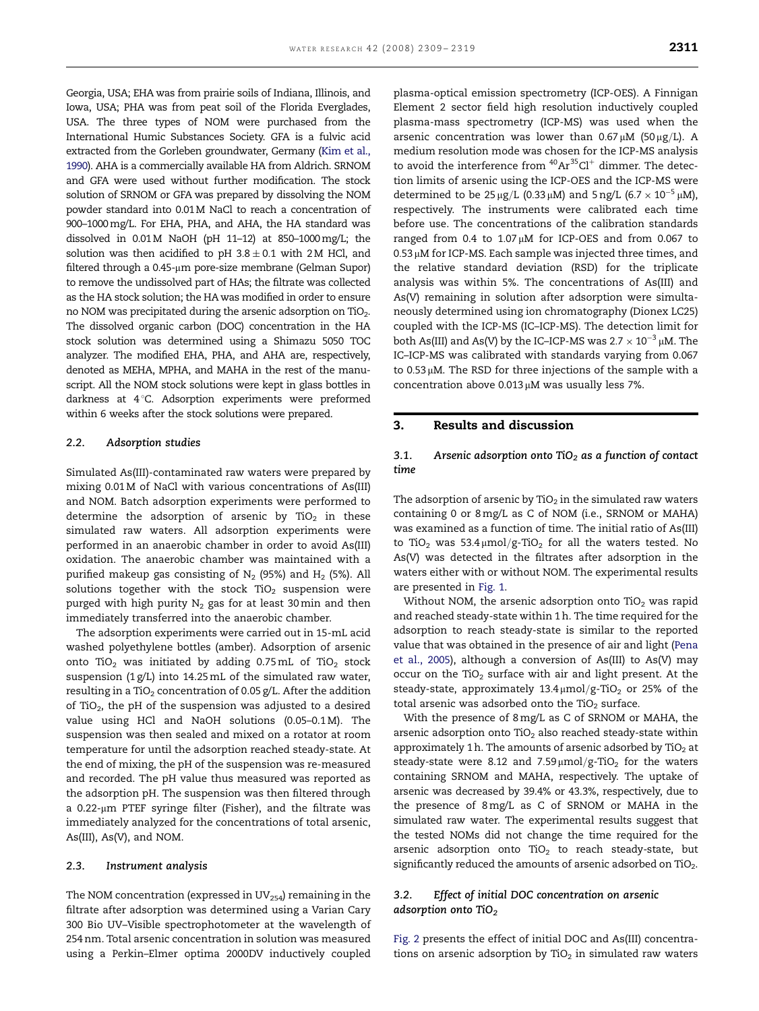Georgia, USA; EHA was from prairie soils of Indiana, Illinois, and Iowa, USA; PHA was from peat soil of the Florida Everglades, USA. The three types of NOM were purchased from the International Humic Substances Society. GFA is a fulvic acid extracted from the Gorleben groundwater, Germany [\(Kim et al.,](#page-9-0) [1990\)](#page-9-0). AHA is a commercially available HA from Aldrich. SRNOM and GFA were used without further modification. The stock solution of SRNOM or GFA was prepared by dissolving the NOM powder standard into 0.01M NaCl to reach a concentration of 900–1000mg/L. For EHA, PHA, and AHA, the HA standard was

dissolved in  $0.01M$  NaOH (pH 11-12) at 850-1000 mg/L; the solution was then acidified to pH  $3.8 \pm 0.1$  with 2M HCl, and filtered through a  $0.45$ -µm pore-size membrane (Gelman Supor) to remove the undissolved part of HAs; the filtrate was collected as the HA stock solution; the HA was modified in order to ensure no NOM was precipitated during the arsenic adsorption on TiO<sub>2</sub>. The dissolved organic carbon (DOC) concentration in the HA stock solution was determined using a Shimazu 5050 TOC analyzer. The modified EHA, PHA, and AHA are, respectively, denoted as MEHA, MPHA, and MAHA in the rest of the manuscript. All the NOM stock solutions were kept in glass bottles in darkness at 4°C. Adsorption experiments were preformed within 6 weeks after the stock solutions were prepared.

#### 2.2. Adsorption studies

Simulated As(III)-contaminated raw waters were prepared by mixing 0.01 M of NaCl with various concentrations of As(III) and NOM. Batch adsorption experiments were performed to determine the adsorption of arsenic by TiO<sub>2</sub> in these simulated raw waters. All adsorption experiments were performed in an anaerobic chamber in order to avoid As(III) oxidation. The anaerobic chamber was maintained with a purified makeup gas consisting of  $N_2$  (95%) and  $H_2$  (5%). All solutions together with the stock  $TiO<sub>2</sub>$  suspension were purged with high purity  $N_2$  gas for at least 30 min and then immediately transferred into the anaerobic chamber.

The adsorption experiments were carried out in 15-mL acid washed polyethylene bottles (amber). Adsorption of arsenic onto TiO<sub>2</sub> was initiated by adding 0.75mL of TiO<sub>2</sub> stock suspension (1 g/L) into 14.25mL of the simulated raw water, resulting in a TiO<sub>2</sub> concentration of 0.05 g/L. After the addition of TiO<sub>2</sub>, the pH of the suspension was adjusted to a desired value using HCl and NaOH solutions (0.05–0.1 M). The suspension was then sealed and mixed on a rotator at room temperature for until the adsorption reached steady-state. At the end of mixing, the pH of the suspension was re-measured and recorded. The pH value thus measured was reported as the adsorption pH. The suspension was then filtered through a 0.22-µm PTEF syringe filter (Fisher), and the filtrate was immediately analyzed for the concentrations of total arsenic, As(III), As(V), and NOM.

#### 2.3. Instrument analysis

The NOM concentration (expressed in  $UV_{254}$ ) remaining in the filtrate after adsorption was determined using a Varian Cary 300 Bio UV–Visible spectrophotometer at the wavelength of 254 nm. Total arsenic concentration in solution was measured using a Perkin–Elmer optima 2000DV inductively coupled

plasma-optical emission spectrometry (ICP-OES). A Finnigan Element 2 sector field high resolution inductively coupled plasma-mass spectrometry (ICP-MS) was used when the arsenic concentration was lower than  $0.67 \mu M$  (50  $\mu$ g/L). A medium resolution mode was chosen for the ICP-MS analysis to avoid the interference from  $40Ar^{35}Cl^{+}$  dimmer. The detection limits of arsenic using the ICP-OES and the ICP-MS were determined to be  $25 \mu g/L$  (0.33  $\mu$ M) and 5 ng/L (6.7  $\times$  10<sup>-5</sup>  $\mu$ M), respectively. The instruments were calibrated each time before use. The concentrations of the calibration standards ranged from 0.4 to  $1.07 \mu M$  for ICP-OES and from 0.067 to  $0.53 \mu$ M for ICP-MS. Each sample was injected three times, and the relative standard deviation (RSD) for the triplicate analysis was within 5%. The concentrations of As(III) and As(V) remaining in solution after adsorption were simultaneously determined using ion chromatography (Dionex LC25) coupled with the ICP-MS (IC–ICP-MS). The detection limit for both As(III) and As(V) by the IC–ICP-MS was 2.7  $\times$  10 $^{-3}$  µM. The IC–ICP-MS was calibrated with standards varying from 0.067 to  $0.53 \mu$ M. The RSD for three injections of the sample with a concentration above  $0.013 \mu$ M was usually less 7%.

## 3. Results and discussion

## 3.1. Arsenic adsorption onto TiO<sub>2</sub> as a function of contact time

The adsorption of arsenic by  $TiO<sub>2</sub>$  in the simulated raw waters containing 0 or 8mg/L as C of NOM (i.e., SRNOM or MAHA) was examined as a function of time. The initial ratio of As(III) to TiO<sub>2</sub> was  $53.4 \mu \text{mol}/g$ -TiO<sub>2</sub> for all the waters tested. No As(V) was detected in the filtrates after adsorption in the waters either with or without NOM. The experimental results are presented in [Fig. 1.](#page-3-0)

Without NOM, the arsenic adsorption onto  $TiO<sub>2</sub>$  was rapid and reached steady-state within 1 h. The time required for the adsorption to reach steady-state is similar to the reported value that was obtained in the presence of air and light [\(Pena](#page-10-0) [et al., 2005](#page-10-0)), although a conversion of As(III) to As(V) may occur on the  $TiO<sub>2</sub>$  surface with air and light present. At the steady-state, approximately  $13.4 \mu$ mol/g-TiO<sub>2</sub> or 25% of the total arsenic was adsorbed onto the TiO<sub>2</sub> surface.

With the presence of 8mg/L as C of SRNOM or MAHA, the arsenic adsorption onto  $TiO<sub>2</sub>$  also reached steady-state within approximately 1 h. The amounts of arsenic adsorbed by  $TiO<sub>2</sub>$  at steady-state were 8.12 and 7.59 $\mu$ mol/g-TiO<sub>2</sub> for the waters containing SRNOM and MAHA, respectively. The uptake of arsenic was decreased by 39.4% or 43.3%, respectively, due to the presence of 8mg/L as C of SRNOM or MAHA in the simulated raw water. The experimental results suggest that the tested NOMs did not change the time required for the arsenic adsorption onto  $TiO<sub>2</sub>$  to reach steady-state, but significantly reduced the amounts of arsenic adsorbed on TiO2.

## 3.2. Effect of initial DOC concentration on arsenic adsorption onto TiO<sub>2</sub>

[Fig. 2](#page-3-0) presents the effect of initial DOC and As(III) concentrations on arsenic adsorption by  $TiO<sub>2</sub>$  in simulated raw waters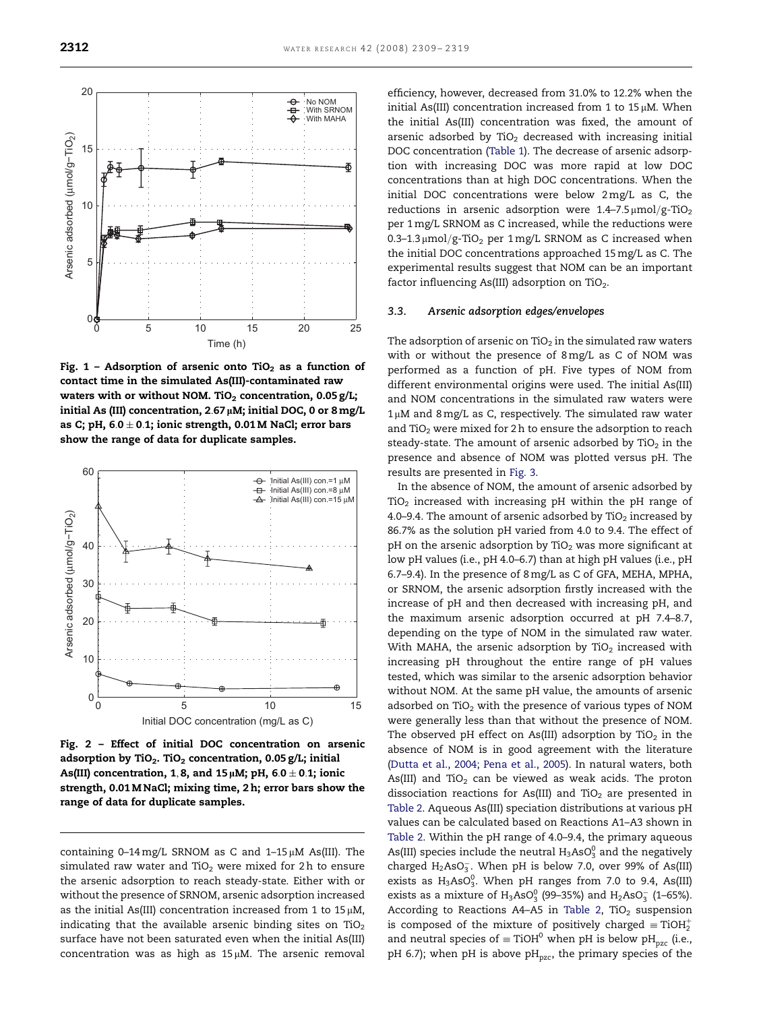<span id="page-3-0"></span>

Fig. 1 - Adsorption of arsenic onto TiO<sub>2</sub> as a function of contact time in the simulated As(III)-contaminated raw waters with or without NOM. TiO<sub>2</sub> concentration, 0.05 g/L; initial As (III) concentration,  $2.67 \mu$ M; initial DOC, 0 or 8 mg/L as C; pH,  $6.0 \pm 0.1$ ; ionic strength, 0.01 M NaCl; error bars show the range of data for duplicate samples.



Fig. 2 – Effect of initial DOC concentration on arsenic adsorption by TiO<sub>2</sub>. TiO<sub>2</sub> concentration, 0.05 g/L; initial As(III) concentration, 1, 8, and 15  $\mu$ M; pH, 6.0  $\pm$  0.1; ionic strength, 0.01 M NaCl; mixing time, 2 h; error bars show the range of data for duplicate samples.

containing  $0-14$  mg/L SRNOM as C and  $1-15 \mu$ M As(III). The simulated raw water and TiO<sub>2</sub> were mixed for 2h to ensure the arsenic adsorption to reach steady-state. Either with or without the presence of SRNOM, arsenic adsorption increased as the initial As(III) concentration increased from 1 to 15  $\mu$ M, indicating that the available arsenic binding sites on  $TiO<sub>2</sub>$ surface have not been saturated even when the initial As(III) concentration was as high as  $15 \mu$ M. The arsenic removal

efficiency, however, decreased from 31.0% to 12.2% when the initial As(III) concentration increased from 1 to 15 $\mu$ M. When the initial As(III) concentration was fixed, the amount of arsenic adsorbed by  $TiO<sub>2</sub>$  decreased with increasing initial DOC concentration ([Table 1](#page-4-0)). The decrease of arsenic adsorption with increasing DOC was more rapid at low DOC concentrations than at high DOC concentrations. When the initial DOC concentrations were below 2mg/L as C, the reductions in arsenic adsorption were  $1.4-7.5 \mu \text{mol/g-TiO}_2$ per 1mg/L SRNOM as C increased, while the reductions were 0.3–1.3  $\mu$ mol/g-TiO<sub>2</sub> per 1 mg/L SRNOM as C increased when the initial DOC concentrations approached 15mg/L as C. The experimental results suggest that NOM can be an important factor influencing As(III) adsorption on  $TiO<sub>2</sub>$ .

#### 3.3. Arsenic adsorption edges/envelopes

The adsorption of arsenic on  $TiO<sub>2</sub>$  in the simulated raw waters with or without the presence of 8mg/L as C of NOM was performed as a function of pH. Five types of NOM from different environmental origins were used. The initial As(III) and NOM concentrations in the simulated raw waters were  $1 \mu$ M and 8 mg/L as C, respectively. The simulated raw water and  $TiO<sub>2</sub>$  were mixed for 2 h to ensure the adsorption to reach steady-state. The amount of arsenic adsorbed by  $TiO<sub>2</sub>$  in the presence and absence of NOM was plotted versus pH. The results are presented in [Fig. 3](#page-4-0).

In the absence of NOM, the amount of arsenic adsorbed by  $TiO<sub>2</sub>$  increased with increasing pH within the pH range of 4.0–9.4. The amount of arsenic adsorbed by TiO<sub>2</sub> increased by 86.7% as the solution pH varied from 4.0 to 9.4. The effect of pH on the arsenic adsorption by  $TiO<sub>2</sub>$  was more significant at low pH values (i.e., pH 4.0–6.7) than at high pH values (i.e., pH 6.7–9.4). In the presence of 8mg/L as C of GFA, MEHA, MPHA, or SRNOM, the arsenic adsorption firstly increased with the increase of pH and then decreased with increasing pH, and the maximum arsenic adsorption occurred at pH 7.4–8.7, depending on the type of NOM in the simulated raw water. With MAHA, the arsenic adsorption by  $TiO<sub>2</sub>$  increased with increasing pH throughout the entire range of pH values tested, which was similar to the arsenic adsorption behavior without NOM. At the same pH value, the amounts of arsenic adsorbed on  $TiO<sub>2</sub>$  with the presence of various types of NOM were generally less than that without the presence of NOM. The observed pH effect on As(III) adsorption by TiO<sub>2</sub> in the absence of NOM is in good agreement with the literature ([Dutta et al., 2004; Pena et al., 2005\)](#page-9-0). In natural waters, both As(III) and TiO<sub>2</sub> can be viewed as weak acids. The proton dissociation reactions for As(III) and TiO<sub>2</sub> are presented in [Table 2](#page-5-0). Aqueous As(III) speciation distributions at various pH values can be calculated based on Reactions A1–A3 shown in [Table 2.](#page-5-0) Within the pH range of 4.0–9.4, the primary aqueous As(III) species include the neutral  $H_3AsO_3^0$  and the negatively charged  $H_2AsO_3^-$ . When pH is below 7.0, over 99% of As(III) exists as  $H_3AsO_3^0$ . When pH ranges from 7.0 to 9.4, As(III) exists as a mixture of  $H_3AsO_3^0$  (99–35%) and  $H_2AsO_3^-$  (1–65%). According to Reactions A4-A5 in [Table 2,](#page-5-0) TiO<sub>2</sub> suspension is composed of the mixture of positively charged  $\equiv$  TiOH $_2^+$ and neutral species of  $\equiv$  TiOH<sup>0</sup> when pH is below pH<sub>pzc</sub> (i.e., pH 6.7); when pH is above pH<sub>pzc</sub>, the primary species of the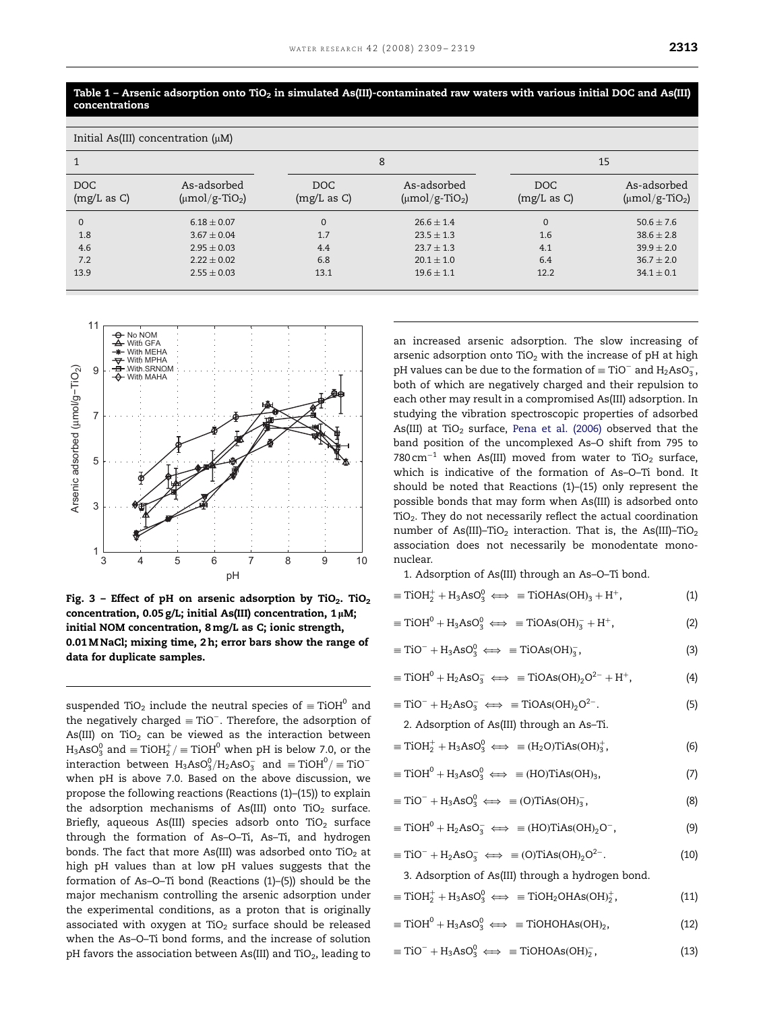<span id="page-4-0"></span>Table 1 – Arsenic adsorption onto TiO<sub>2</sub> in simulated As(III)-contaminated raw waters with various initial DOC and As(III)

| Initial As(III) concentration $(\mu M)$ |                                                  |                    |                                                  |                           |                                                  |  |  |
|-----------------------------------------|--------------------------------------------------|--------------------|--------------------------------------------------|---------------------------|--------------------------------------------------|--|--|
| 1                                       |                                                  | 8                  |                                                  | 15                        |                                                  |  |  |
| DOC<br>(mg/L as C)                      | As-adsorbed<br>$(\mu \text{mol}/\text{g-TiO}_2)$ | DOC<br>(mg/L as C) | As-adsorbed<br>$(\mu \text{mol}/\text{g-TiO}_2)$ | <b>DOC</b><br>(mg/L as C) | As-adsorbed<br>$(\mu \text{mol}/\text{g-TiO}_2)$ |  |  |
| $\mathbf{0}$                            | $6.18 \pm 0.07$                                  | $\mathbf 0$        | $26.6 \pm 1.4$                                   | $\mathbf{0}$              | $50.6 \pm 7.6$                                   |  |  |
| 1.8                                     | $3.67 \pm 0.04$                                  | 1.7                | $23.5 \pm 1.3$                                   | 1.6                       | $38.6 \pm 2.8$                                   |  |  |
| 4.6                                     | $2.95 \pm 0.03$                                  | 4.4                | $23.7 \pm 1.3$                                   | 4.1                       | $39.9 \pm 2.0$                                   |  |  |
| 7.2                                     | $2.22 + 0.02$                                    | 6.8                | $20.1 \pm 1.0$                                   | 6.4                       | $36.7 + 2.0$                                     |  |  |
| 13.9                                    | $2.55 \pm 0.03$                                  | 13.1               | $19.6 \pm 1.1$                                   | 12.2                      | $34.1 \pm 0.1$                                   |  |  |
|                                         |                                                  |                    |                                                  |                           |                                                  |  |  |



concentrations

Fig. 3 – Effect of pH on arsenic adsorption by TiO<sub>2</sub>. TiO<sub>2</sub> concentration,  $0.05$  g/L; initial As(III) concentration,  $1 \mu$ M; initial NOM concentration, 8 mg/L as C; ionic strength, 0.01 M NaCl; mixing time, 2 h; error bars show the range of data for duplicate samples.

suspended TiO<sub>2</sub> include the neutral species of  $\equiv$  TiOH<sup>0</sup> and the negatively charged  $\equiv$  TiO $^-$ . Therefore, the adsorption of As(III) on TiO<sub>2</sub> can be viewed as the interaction between H3AsO $_3^0$  and  $\equiv \mathrm{TiOH}_2^+/\equiv \mathrm{TiOH}^0$  when pH is below 7.0, or the interaction between  $\rm H_3AsO_3^0/H_2AsO_3^-$  and  $\equiv\rm TiOH^0/\equiv TiO^$ when pH is above 7.0. Based on the above discussion, we propose the following reactions (Reactions (1)–(15)) to explain the adsorption mechanisms of As(III) onto TiO<sub>2</sub> surface. Briefly, aqueous As(III) species adsorb onto  $TiO<sub>2</sub>$  surface through the formation of As–O–Ti, As–Ti, and hydrogen bonds. The fact that more As(III) was adsorbed onto TiO<sub>2</sub> at high pH values than at low pH values suggests that the formation of As–O–Ti bond (Reactions (1)–(5)) should be the major mechanism controlling the arsenic adsorption under the experimental conditions, as a proton that is originally associated with oxygen at  $TiO<sub>2</sub>$  surface should be released when the As–O–Ti bond forms, and the increase of solution pH favors the association between As(III) and TiO<sub>2</sub>, leading to

an increased arsenic adsorption. The slow increasing of arsenic adsorption onto  $TiO<sub>2</sub>$  with the increase of pH at high pH values can be due to the formation of  $\equiv$  TiO $^-$  and H<sub>2</sub>AsO<sub>3</sub>, both of which are negatively charged and their repulsion to each other may result in a compromised As(III) adsorption. In studying the vibration spectroscopic properties of adsorbed As(III) at TiO<sub>2</sub> surface, [Pena et al. \(2006\)](#page-10-0) observed that the band position of the uncomplexed As–O shift from 795 to 780  $\rm cm^{-1}$  when As(III) moved from water to TiO<sub>2</sub> surface, which is indicative of the formation of As–O–Ti bond. It should be noted that Reactions (1)–(15) only represent the possible bonds that may form when As(III) is adsorbed onto TiO<sub>2</sub>. They do not necessarily reflect the actual coordination number of As(III)–TiO<sub>2</sub> interaction. That is, the As(III)–TiO<sub>2</sub> association does not necessarily be monodentate mononuclear.

1. Adsorption of As(III) through an As–O–Ti bond.

|  | $\equiv$ TiOH <sub>2</sub> <sup>+</sup> + H <sub>3</sub> AsO <sub>3</sub> <sup>0</sup> $\Longleftrightarrow$ = TiOHAs(OH) <sub>3</sub> + H <sup>+</sup> , | (1) |
|--|-----------------------------------------------------------------------------------------------------------------------------------------------------------|-----|
|--|-----------------------------------------------------------------------------------------------------------------------------------------------------------|-----|

 $\equiv$ TiOH<sup>0</sup> + H<sub>3</sub>AsO<sub>3</sub><sup>o</sup>  $\Leftrightarrow$   $\equiv$ TiOAs(OH)<sub>3</sub> + H<sup>+</sup>, (2)

$$
\equiv TiO^{-} + H_3AsO_3^0 \iff \equiv TiOAs(OH)_3^-, \tag{3}
$$

 $\equiv$ TiOH<sup>0</sup> + H<sub>2</sub>AsO<sub>3</sub>  $\iff$   $\equiv$ TiOAs(OH)<sub>2</sub>O<sup>2-</sup> + H<sup>+</sup>, (4)

$$
\equiv TiO^{-} + H_{2}AsO_{3}^{-} \iff \equiv TiOAs(OH)_{2}O^{2-}.
$$
 (5)

2. Adsorption of As(III) through an As–Ti.

$$
\equiv TiOH_2^+ + H_3AsO_3^0 \iff \equiv (H_2O)TiAs(OH)_3^+, \tag{6}
$$

- $\equiv$ TiOH<sup>0</sup> + H<sub>3</sub>AsO<sub>3</sub><sup>0</sup>  $\Longleftrightarrow$   $\equiv$  (HO)TiAs(OH)<sub>3</sub>, (7)
- $\equiv TiO^{-} + H_3AsO_3^{0} \iff \equiv (O)TiAs(OH)_{3}^{-}$  $\overline{3}$ , (8)

$$
\equiv TiOH^{0} + H_{2}AsO_{3}^{-} \iff \equiv (HO)TiAs(OH)_{2}O^{-}, \tag{9}
$$

 $\equiv$ TiO<sup>-</sup> + H<sub>2</sub>AsO<sub>3</sub>  $\iff$   $\equiv$  (O)TiAs(OH)<sub>2</sub>O<sup>2-</sup>  $(10)$ 

3. Adsorption of As(III) through a hydrogen bond.

- $\equiv$ TiOH<sub>2</sub>+ H<sub>3</sub>AsO<sub>3</sub>  $\iff$   $\equiv$ TiOH<sub>2</sub>OHAs(OH)<sub>2</sub>  $(11)$
- $\equiv$ TiOH<sup>0</sup> + H<sub>3</sub>AsO<sub>3</sub><sup>0</sup>  $\Longleftrightarrow$   $\equiv$ TiOHOHAs(OH)<sub>2</sub>, (12)

$$
\equiv TiO^{-} + H_3AsO_3^0 \iff \equiv TiOHOAs(OH)_{2}^{-}, \tag{13}
$$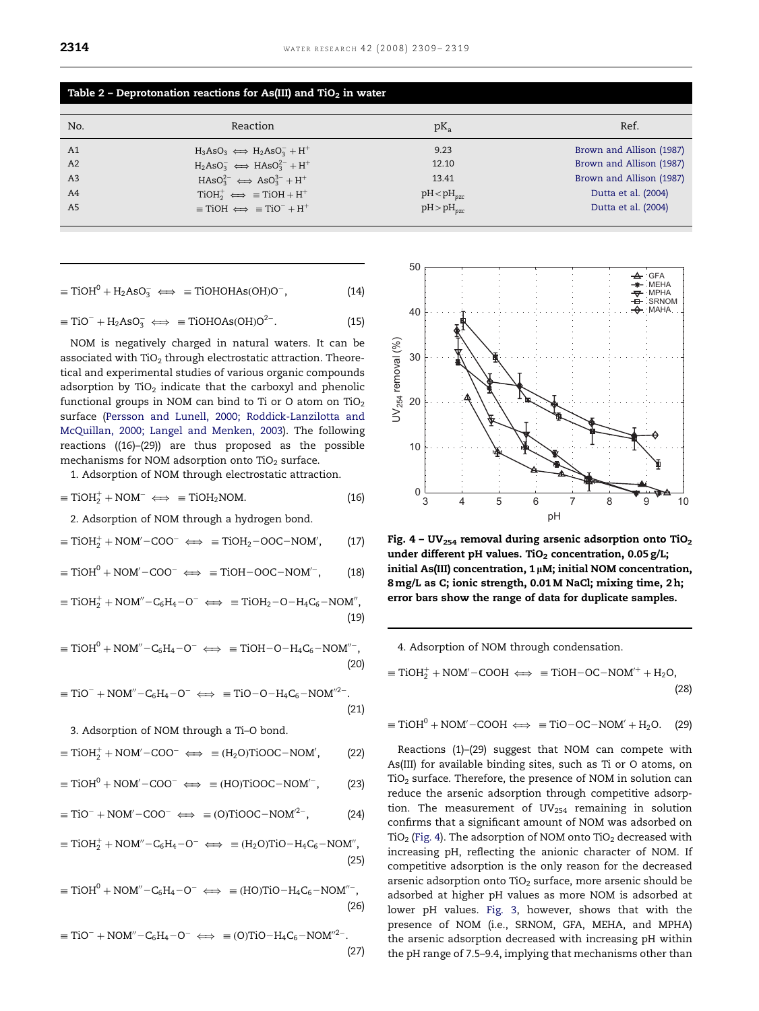| No.            | Reaction                                                                       | $pK_a$          | Ref.                     |
|----------------|--------------------------------------------------------------------------------|-----------------|--------------------------|
| A <sub>1</sub> | $H_3AsO_3 \iff H_2AsO_3^- + H^+$                                               | 9.23            | Brown and Allison (1987) |
| A2             | $H_2AsO_3^- \iff HASO_3^{2-} + H^+$                                            | 12.10           | Brown and Allison (1987) |
| A <sub>3</sub> | $HASO32- \iff ASO33- + H+$                                                     | 13.41           | Brown and Allison (1987) |
| A <sub>4</sub> | $TiOH+ \iff$ = TiOH + H <sup>+</sup>                                           | $pH < pH_{pzc}$ | Dutta et al. (2004)      |
| A <sub>5</sub> | $\equiv$ TiOH $\Longleftrightarrow$ $\equiv$ TiO <sup>-</sup> + H <sup>+</sup> | $pH > pH_{nzc}$ | Dutta et al. (2004)      |

$$
f_{\rm{max}}(x)=\frac{1}{2}x
$$

<span id="page-5-0"></span>Table 2 - Deprotonation reactions for As(III) and TiO<sub>2</sub> in water

$$
\equiv TiOH^{0} + H_{2}AsO_{3}^{-} \iff \equiv TiOHOHAs(OH)O^{-}, \tag{14}
$$

$$
\equiv TiO^{-} + H_2AsO_3^{-} \iff \equiv TiOHOAs(OH)O^{2-}.
$$
 (15)

NOM is negatively charged in natural waters. It can be associated with  $TiO<sub>2</sub>$  through electrostatic attraction. Theoretical and experimental studies of various organic compounds adsorption by TiO<sub>2</sub> indicate that the carboxyl and phenolic functional groups in NOM can bind to Ti or O atom on TiO<sub>2</sub> surface [\(Persson and Lunell, 2000; Roddick-Lanzilotta and](#page-10-0) [McQuillan, 2000; Langel and Menken, 2003\)](#page-10-0). The following reactions ((16)–(29)) are thus proposed as the possible mechanisms for NOM adsorption onto TiO<sub>2</sub> surface.

1. Adsorption of NOM through electrostatic attraction.

$$
\equiv TiOH_2^+ + NOM^- \iff \equiv TiOH_2NOM. \tag{16}
$$

2. Adsorption of NOM through a hydrogen bond.

$$
\equiv TiOH_2^+ + NOM' - COO^- \iff \equiv TiOH_2 - OOC - NOM', \qquad (17)
$$

$$
\equiv TiOH^{0} + NOM' - COO^{-} \iff \equiv TiOH - OOC - NOM' , \qquad (18)
$$

 $\equiv$ TiOH<sub>2</sub><sup>+</sup> + NOM<sup>"</sup>-C<sub>6</sub>H<sub>4</sub>-O<sup>-</sup>  $\iff$   $\equiv$ TiOH<sub>2</sub>-O-H<sub>4</sub>C<sub>6</sub>-NOM", (19)

$$
\equiv TiOH^0 + NOM'' - C_6H_4 - O^- \iff \equiv TiOH - O - H_4C_6 - NOM''^-,
$$
\n(20)

$$
\equiv TiO^- + NOM''-C_6H_4 - O^- \iff \equiv TiO-O-H_4C_6 - NOM''^2. \tag{21}
$$

3. Adsorption of NOM through a Ti–O bond.

$$
\equiv TiOH_2^+ + NOM' - COO^- \iff \equiv (H_2O)TiOOC - NOM', \tag{22}
$$

$$
\equiv TiOH^{0} + NOM' - COO^{-} \iff \equiv (HO) TiOOC - NOM'^{-}, \qquad (23)
$$

$$
\equiv TiO^{-} + NOM' - COO^{-} \iff \equiv (O) TiOOC - NOM^{2-}, \tag{24}
$$

 $\equiv$ TiOH<sub>2</sub><sup>+</sup> + NOM<sup>"</sup>-C<sub>6</sub>H<sub>4</sub>-O<sup>-</sup>  $\iff$   $\equiv$  (H<sub>2</sub>O)TiO-H<sub>4</sub>C<sub>6</sub>-NOM", (25)

 $\equiv$ TiOH<sup>0</sup> + NOM"-C<sub>6</sub>H<sub>4</sub>-O<sup>-</sup>  $\iff$   $\equiv$  (HO)TiO-H<sub>4</sub>C<sub>6</sub>-NOM"<sup>-</sup>, (26)

$$
\equiv TiO^{-} + NOM'' - C_6H_4 - O^{-} \iff \equiv (O) TiO - H_4C_6 - NOM''^{2-}.
$$
\n(27)



Fig. 4 – UV<sub>254</sub> removal during arsenic adsorption onto TiO<sub>2</sub> under different pH values. TiO<sub>2</sub> concentration,  $0.05$  g/L; initial As(III) concentration,  $1 \mu$ M; initial NOM concentration, 8 mg/L as C; ionic strength, 0.01 M NaCl; mixing time, 2 h; error bars show the range of data for duplicate samples.

4. Adsorption of NOM through condensation.

 $\equiv$ TiOH<sub>2</sub><sup>+</sup> + NOM'-COOH  $\Longleftrightarrow$   $\equiv$  TiOH-OC-NOM'<sup>+</sup> + H<sub>2</sub>O, (28)

$$
\equiv TiOH^{0} + NOM' - COOH \iff \equiv TiO - OC - NOM' + H_{2}O. \quad (29)
$$

Reactions (1)–(29) suggest that NOM can compete with As(III) for available binding sites, such as Ti or O atoms, on  $TiO<sub>2</sub>$  surface. Therefore, the presence of NOM in solution can reduce the arsenic adsorption through competitive adsorption. The measurement of  $UV_{254}$  remaining in solution confirms that a significant amount of NOM was adsorbed on TiO<sub>2</sub> (Fig. 4). The adsorption of NOM onto TiO<sub>2</sub> decreased with increasing pH, reflecting the anionic character of NOM. If competitive adsorption is the only reason for the decreased arsenic adsorption onto TiO<sub>2</sub> surface, more arsenic should be adsorbed at higher pH values as more NOM is adsorbed at lower pH values. [Fig. 3,](#page-4-0) however, shows that with the presence of NOM (i.e., SRNOM, GFA, MEHA, and MPHA) the arsenic adsorption decreased with increasing pH within the pH range of 7.5–9.4, implying that mechanisms other than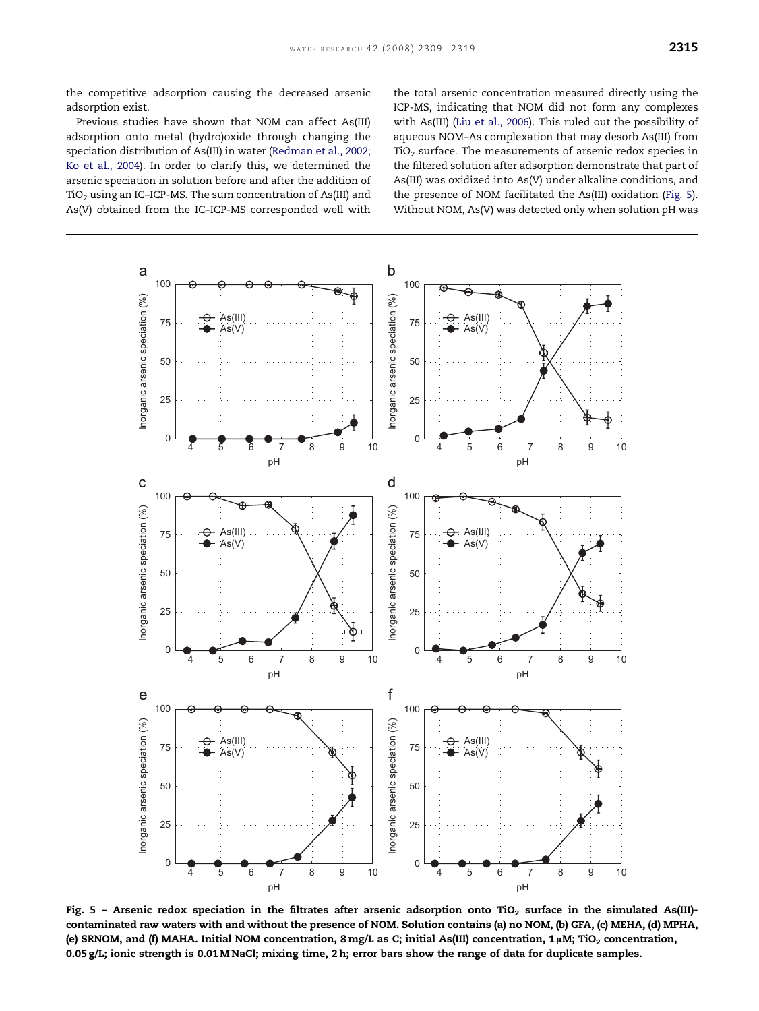<span id="page-6-0"></span>the competitive adsorption causing the decreased arsenic adsorption exist.

Previous studies have shown that NOM can affect As(III) adsorption onto metal (hydro)oxide through changing the speciation distribution of As(III) in water ([Redman et al., 2002;](#page-10-0) [Ko et al., 2004\)](#page-10-0). In order to clarify this, we determined the arsenic speciation in solution before and after the addition of  $TiO<sub>2</sub>$  using an IC–ICP-MS. The sum concentration of As(III) and As(V) obtained from the IC–ICP-MS corresponded well with the total arsenic concentration measured directly using the ICP-MS, indicating that NOM did not form any complexes with As(III) ([Liu et al., 2006](#page-9-0)). This ruled out the possibility of aqueous NOM–As complexation that may desorb As(III) from  $TiO<sub>2</sub>$  surface. The measurements of arsenic redox species in the filtered solution after adsorption demonstrate that part of As(III) was oxidized into As(V) under alkaline conditions, and the presence of NOM facilitated the As(III) oxidation (Fig. 5). Without NOM, As(V) was detected only when solution pH was



Fig. 5 - Arsenic redox speciation in the filtrates after arsenic adsorption onto TiO<sub>2</sub> surface in the simulated As(III)contaminated raw waters with and without the presence of NOM. Solution contains (a) no NOM, (b) GFA, (c) MEHA, (d) MPHA, (e) SRNOM, and (f) MAHA. Initial NOM concentration,  $8 \text{ mg/L}$  as C; initial As(III) concentration,  $1 \mu$ M; TiO<sub>2</sub> concentration, 0.05 g/L; ionic strength is 0.01 M NaCl; mixing time, 2 h; error bars show the range of data for duplicate samples.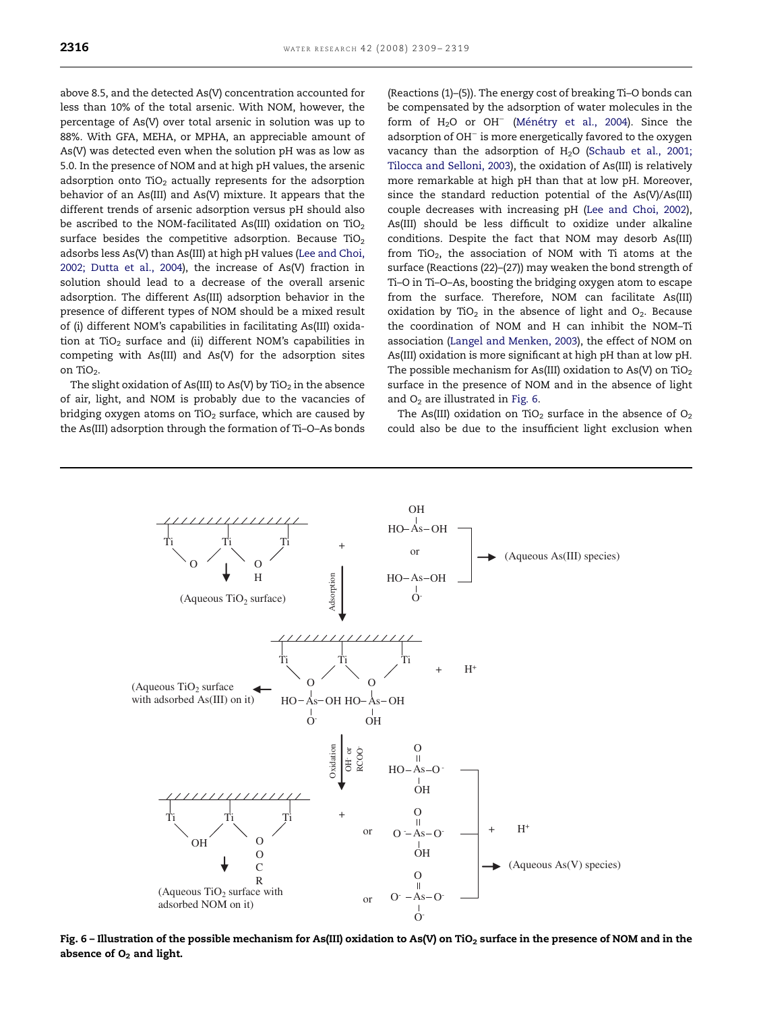above 8.5, and the detected As(V) concentration accounted for less than 10% of the total arsenic. With NOM, however, the percentage of As(V) over total arsenic in solution was up to 88%. With GFA, MEHA, or MPHA, an appreciable amount of As(V) was detected even when the solution pH was as low as 5.0. In the presence of NOM and at high pH values, the arsenic adsorption onto  $TiO<sub>2</sub>$  actually represents for the adsorption behavior of an As(III) and As(V) mixture. It appears that the different trends of arsenic adsorption versus pH should also be ascribed to the NOM-facilitated As(III) oxidation on TiO<sub>2</sub> surface besides the competitive adsorption. Because  $TiO<sub>2</sub>$ adsorbs less As(V) than As(III) at high pH values [\(Lee and Choi,](#page-9-0) [2002; Dutta et al., 2004](#page-9-0)), the increase of As(V) fraction in solution should lead to a decrease of the overall arsenic adsorption. The different As(III) adsorption behavior in the presence of different types of NOM should be a mixed result of (i) different NOM's capabilities in facilitating As(III) oxidation at TiO<sub>2</sub> surface and (ii) different NOM's capabilities in competing with As(III) and As(V) for the adsorption sites on TiO<sub>2</sub>.

The slight oxidation of As(III) to As(V) by TiO<sub>2</sub> in the absence of air, light, and NOM is probably due to the vacancies of bridging oxygen atoms on TiO<sub>2</sub> surface, which are caused by the As(III) adsorption through the formation of Ti–O–As bonds (Reactions (1)–(5)). The energy cost of breaking Ti–O bonds can be compensated by the adsorption of water molecules in the form of H<sub>2</sub>O or OH<sup>-</sup> (Ménétry et al., 2004). Since the adsorption of OH<sup>-</sup> is more energetically favored to the oxygen vacancy than the adsorption of  $H<sub>2</sub>O$  [\(Schaub et al., 2001;](#page-10-0) [Tilocca and Selloni, 2003\)](#page-10-0), the oxidation of As(III) is relatively more remarkable at high pH than that at low pH. Moreover, since the standard reduction potential of the As(V)/As(III) couple decreases with increasing pH ([Lee and Choi, 2002\)](#page-9-0), As(III) should be less difficult to oxidize under alkaline conditions. Despite the fact that NOM may desorb As(III) from TiO<sub>2</sub>, the association of NOM with Ti atoms at the surface (Reactions (22)–(27)) may weaken the bond strength of Ti–O in Ti–O–As, boosting the bridging oxygen atom to escape from the surface. Therefore, NOM can facilitate As(III) oxidation by TiO<sub>2</sub> in the absence of light and  $O<sub>2</sub>$ . Because the coordination of NOM and H can inhibit the NOM–Ti association [\(Langel and Menken, 2003](#page-9-0)), the effect of NOM on As(III) oxidation is more significant at high pH than at low pH. The possible mechanism for As(III) oxidation to As(V) on TiO<sub>2</sub> surface in the presence of NOM and in the absence of light and  $O_2$  are illustrated in Fig. 6.

The As(III) oxidation on TiO<sub>2</sub> surface in the absence of O<sub>2</sub> could also be due to the insufficient light exclusion when



Fig. 6 – Illustration of the possible mechanism for As(III) oxidation to As(V) on TiO<sub>2</sub> surface in the presence of NOM and in the absence of  $O<sub>2</sub>$  and light.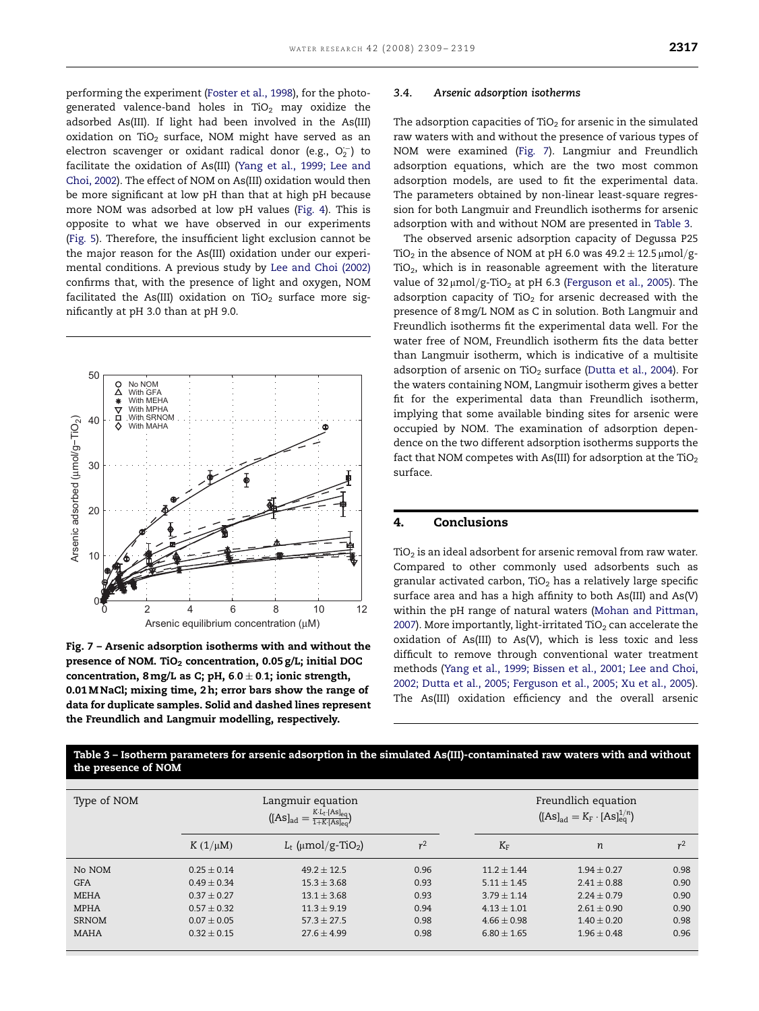performing the experiment ([Foster et al., 1998\)](#page-9-0), for the photogenerated valence-band holes in TiO<sub>2</sub> may oxidize the adsorbed As(III). If light had been involved in the As(III) oxidation on TiO<sub>2</sub> surface, NOM might have served as an electron scavenger or oxidant radical donor (e.g.,  $O_2^{\leftarrow}$ ) to facilitate the oxidation of As(III) ([Yang et al., 1999; Lee and](#page-10-0) [Choi, 2002\)](#page-10-0). The effect of NOM on As(III) oxidation would then be more significant at low pH than that at high pH because more NOM was adsorbed at low pH values ([Fig. 4](#page-5-0)). This is opposite to what we have observed in our experiments [\(Fig. 5](#page-6-0)). Therefore, the insufficient light exclusion cannot be the major reason for the As(III) oxidation under our experimental conditions. A previous study by [Lee and Choi \(2002\)](#page-9-0) confirms that, with the presence of light and oxygen, NOM facilitated the As(III) oxidation on TiO<sub>2</sub> surface more significantly at pH 3.0 than at pH 9.0.



Fig. 7 – Arsenic adsorption isotherms with and without the presence of NOM. TiO<sub>2</sub> concentration,  $0.05$  g/L; initial DOC concentration,  $8 \text{ mg/L}$  as C; pH,  $6.0 \pm 0.1$ ; ionic strength, 0.01 M NaCl; mixing time, 2 h; error bars show the range of data for duplicate samples. Solid and dashed lines represent the Freundlich and Langmuir modelling, respectively.

#### 3.4. Arsenic adsorption isotherms

The adsorption capacities of  $TiO<sub>2</sub>$  for arsenic in the simulated raw waters with and without the presence of various types of NOM were examined (Fig. 7). Langmiur and Freundlich adsorption equations, which are the two most common adsorption models, are used to fit the experimental data. The parameters obtained by non-linear least-square regression for both Langmuir and Freundlich isotherms for arsenic adsorption with and without NOM are presented in Table 3.

The observed arsenic adsorption capacity of Degussa P25 TiO<sub>2</sub> in the absence of NOM at pH 6.0 was  $49.2 \pm 12.5 \mu$ mol/g- $TiO<sub>2</sub>$ , which is in reasonable agreement with the literature value of  $32 \mu$ mol/g-TiO<sub>2</sub> at pH 6.3 [\(Ferguson et al., 2005](#page-9-0)). The adsorption capacity of  $TiO<sub>2</sub>$  for arsenic decreased with the presence of 8mg/L NOM as C in solution. Both Langmuir and Freundlich isotherms fit the experimental data well. For the water free of NOM, Freundlich isotherm fits the data better than Langmuir isotherm, which is indicative of a multisite adsorption of arsenic on TiO<sub>2</sub> surface [\(Dutta et al., 2004](#page-9-0)). For the waters containing NOM, Langmuir isotherm gives a better fit for the experimental data than Freundlich isotherm, implying that some available binding sites for arsenic were occupied by NOM. The examination of adsorption dependence on the two different adsorption isotherms supports the fact that NOM competes with As(III) for adsorption at the TiO<sub>2</sub> surface.

## 4. Conclusions

 $TiO<sub>2</sub>$  is an ideal adsorbent for arsenic removal from raw water. Compared to other commonly used adsorbents such as granular activated carbon,  $TiO<sub>2</sub>$  has a relatively large specific surface area and has a high affinity to both As(III) and As(V) within the pH range of natural waters ([Mohan and Pittman,](#page-10-0) [2007](#page-10-0)). More importantly, light-irritated  $TiO<sub>2</sub>$  can accelerate the oxidation of As(III) to As(V), which is less toxic and less difficult to remove through conventional water treatment methods ([Yang et al., 1999; Bissen et al., 2001; Lee and Choi,](#page-10-0) [2002; Dutta et al., 2005; Ferguson et al., 2005; Xu et al., 2005](#page-10-0)). The As(III) oxidation efficiency and the overall arsenic

Table 3 – Isotherm parameters for arsenic adsorption in the simulated As(III)-contaminated raw waters with and without the presence of NOM

| Type of NOM  | Langmuir equation<br>$K \cdot L_t \cdot [As]_{eq}$<br>$([As]_{ad}$ |                                  |       | Freundlich equation<br>$([As]_{ad} = K_F \cdot [As]_{eq}^{1/n})$ |                 |                |  |
|--------------|--------------------------------------------------------------------|----------------------------------|-------|------------------------------------------------------------------|-----------------|----------------|--|
|              | $K(1/\mu M)$                                                       | $L_t$ (µmol/g-TiO <sub>2</sub> ) | $r^2$ | $K_F$                                                            | n               | r <sup>2</sup> |  |
| No NOM       | $0.25 + 0.14$                                                      | $49.2 + 12.5$                    | 0.96  | $11.2 + 1.44$                                                    | $1.94 + 0.27$   | 0.98           |  |
| <b>GFA</b>   | $0.49 + 0.34$                                                      | $15.3 + 3.68$                    | 0.93  | $5.11 + 1.45$                                                    | $2.41 + 0.88$   | 0.90           |  |
| <b>MEHA</b>  | $0.37 + 0.27$                                                      | $13.1 + 3.68$                    | 0.93  | $3.79 + 1.14$                                                    | $2.24 + 0.79$   | 0.90           |  |
| <b>MPHA</b>  | $0.57 \pm 0.32$                                                    | $11.3 + 9.19$                    | 0.94  | $4.13 + 1.01$                                                    | $2.61 \pm 0.90$ | 0.90           |  |
| <b>SRNOM</b> | $0.07 + 0.05$                                                      | $57.3 + 27.5$                    | 0.98  | $4.66 + 0.98$                                                    | $1.40 + 0.20$   | 0.98           |  |
| <b>MAHA</b>  | $0.32 \pm 0.15$                                                    | $27.6 + 4.99$                    | 0.98  | $6.80 \pm 1.65$                                                  | $1.96 \pm 0.48$ | 0.96           |  |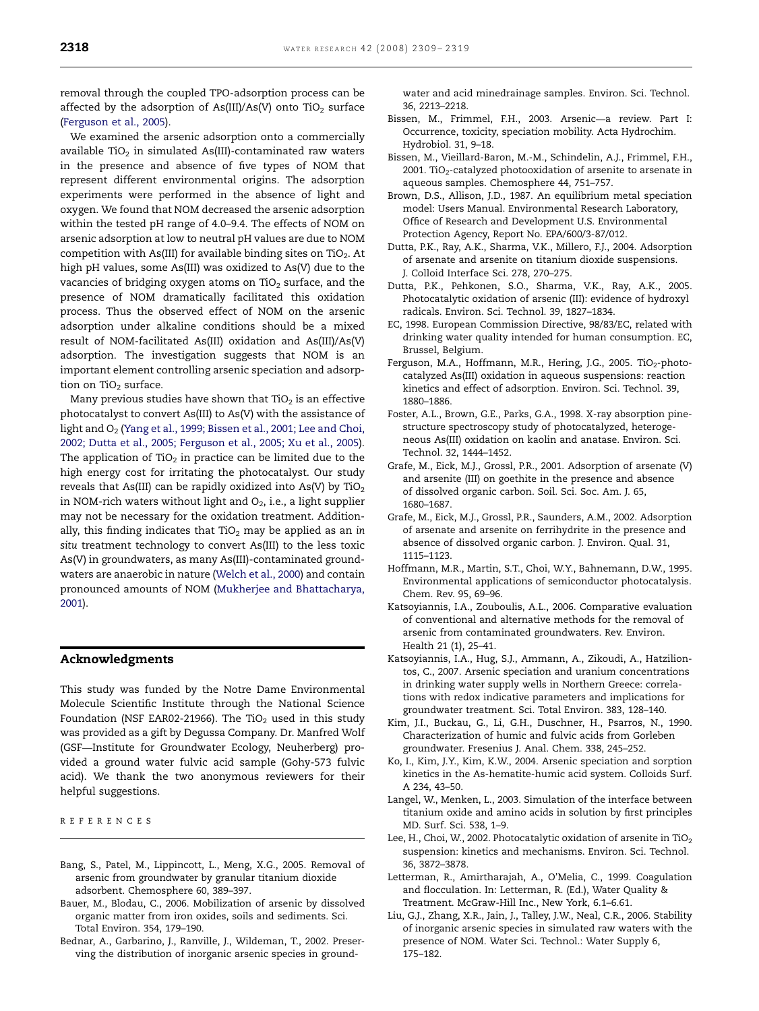<span id="page-9-0"></span>removal through the coupled TPO-adsorption process can be affected by the adsorption of As(III)/As(V) onto TiO<sub>2</sub> surface (Ferguson et al., 2005).

We examined the arsenic adsorption onto a commercially available TiO<sub>2</sub> in simulated As(III)-contaminated raw waters in the presence and absence of five types of NOM that represent different environmental origins. The adsorption experiments were performed in the absence of light and oxygen. We found that NOM decreased the arsenic adsorption within the tested pH range of 4.0–9.4. The effects of NOM on arsenic adsorption at low to neutral pH values are due to NOM competition with As(III) for available binding sites on TiO<sub>2</sub>. At high pH values, some As(III) was oxidized to As(V) due to the vacancies of bridging oxygen atoms on  $TiO<sub>2</sub>$  surface, and the presence of NOM dramatically facilitated this oxidation process. Thus the observed effect of NOM on the arsenic adsorption under alkaline conditions should be a mixed result of NOM-facilitated As(III) oxidation and As(III)/As(V) adsorption. The investigation suggests that NOM is an important element controlling arsenic speciation and adsorption on TiO<sub>2</sub> surface.

Many previous studies have shown that  $TiO<sub>2</sub>$  is an effective photocatalyst to convert As(III) to As(V) with the assistance of light and O<sub>2</sub> [\(Yang et al., 1999; Bissen et al., 2001; Lee and Choi,](#page-10-0) [2002; Dutta et al., 2005; Ferguson et al., 2005; Xu et al., 2005\)](#page-10-0). The application of  $TiO<sub>2</sub>$  in practice can be limited due to the high energy cost for irritating the photocatalyst. Our study reveals that As(III) can be rapidly oxidized into As(V) by  $TiO<sub>2</sub>$ in NOM-rich waters without light and  $O_2$ , i.e., a light supplier may not be necessary for the oxidation treatment. Additionally, this finding indicates that  $TiO<sub>2</sub>$  may be applied as an in situ treatment technology to convert As(III) to the less toxic As(V) in groundwaters, as many As(III)-contaminated groundwaters are anaerobic in nature [\(Welch et al., 2000\)](#page-10-0) and contain pronounced amounts of NOM [\(Mukherjee and Bhattacharya,](#page-10-0) [2001\)](#page-10-0).

## Acknowledgments

This study was funded by the Notre Dame Environmental Molecule Scientific Institute through the National Science Foundation (NSF EAR02-21966). The TiO<sub>2</sub> used in this study was provided as a gift by Degussa Company. Dr. Manfred Wolf (GSF—Institute for Groundwater Ecology, Neuherberg) provided a ground water fulvic acid sample (Gohy-573 fulvic acid). We thank the two anonymous reviewers for their helpful suggestions.

REFERENCES

- Bang, S., Patel, M., Lippincott, L., Meng, X.G., 2005. Removal of arsenic from groundwater by granular titanium dioxide adsorbent. Chemosphere 60, 389–397.
- Bauer, M., Blodau, C., 2006. Mobilization of arsenic by dissolved organic matter from iron oxides, soils and sediments. Sci. Total Environ. 354, 179–190.
- Bednar, A., Garbarino, J., Ranville, J., Wildeman, T., 2002. Preserving the distribution of inorganic arsenic species in ground-

water and acid minedrainage samples. Environ. Sci. Technol. 36, 2213–2218.

- Bissen, M., Frimmel, F.H., 2003. Arsenic—a review. Part I: Occurrence, toxicity, speciation mobility. Acta Hydrochim. Hydrobiol. 31, 9–18.
- Bissen, M., Vieillard-Baron, M.-M., Schindelin, A.J., Frimmel, F.H., 2001. TiO<sub>2</sub>-catalyzed photooxidation of arsenite to arsenate in aqueous samples. Chemosphere 44, 751–757.
- Brown, D.S., Allison, J.D., 1987. An equilibrium metal speciation model: Users Manual. Environmental Research Laboratory, Office of Research and Development U.S. Environmental Protection Agency, Report No. EPA/600/3-87/012.
- Dutta, P.K., Ray, A.K., Sharma, V.K., Millero, F.J., 2004. Adsorption of arsenate and arsenite on titanium dioxide suspensions. J. Colloid Interface Sci. 278, 270–275.
- Dutta, P.K., Pehkonen, S.O., Sharma, V.K., Ray, A.K., 2005. Photocatalytic oxidation of arsenic (III): evidence of hydroxyl radicals. Environ. Sci. Technol. 39, 1827–1834.
- EC, 1998. European Commission Directive, 98/83/EC, related with drinking water quality intended for human consumption. EC, Brussel, Belgium.
- Ferguson, M.A., Hoffmann, M.R., Hering, J.G., 2005. TiO<sub>2</sub>-photocatalyzed As(III) oxidation in aqueous suspensions: reaction kinetics and effect of adsorption. Environ. Sci. Technol. 39, 1880–1886.
- Foster, A.L., Brown, G.E., Parks, G.A., 1998. X-ray absorption pinestructure spectroscopy study of photocatalyzed, heterogeneous As(III) oxidation on kaolin and anatase. Environ. Sci. Technol. 32, 1444–1452.
- Grafe, M., Eick, M.J., Grossl, P.R., 2001. Adsorption of arsenate (V) and arsenite (III) on goethite in the presence and absence of dissolved organic carbon. Soil. Sci. Soc. Am. J. 65, 1680–1687.
- Grafe, M., Eick, M.J., Grossl, P.R., Saunders, A.M., 2002. Adsorption of arsenate and arsenite on ferrihydrite in the presence and absence of dissolved organic carbon. J. Environ. Qual. 31, 1115–1123.
- Hoffmann, M.R., Martin, S.T., Choi, W.Y., Bahnemann, D.W., 1995. Environmental applications of semiconductor photocatalysis. Chem. Rev. 95, 69–96.
- Katsoyiannis, I.A., Zouboulis, A.L., 2006. Comparative evaluation of conventional and alternative methods for the removal of arsenic from contaminated groundwaters. Rev. Environ. Health 21 (1), 25–41.
- Katsoyiannis, I.A., Hug, S.J., Ammann, A., Zikoudi, A., Hatziliontos, C., 2007. Arsenic speciation and uranium concentrations in drinking water supply wells in Northern Greece: correlations with redox indicative parameters and implications for groundwater treatment. Sci. Total Environ. 383, 128–140.
- Kim, J.I., Buckau, G., Li, G.H., Duschner, H., Psarros, N., 1990. Characterization of humic and fulvic acids from Gorleben groundwater. Fresenius J. Anal. Chem. 338, 245–252.
- Ko, I., Kim, J.Y., Kim, K.W., 2004. Arsenic speciation and sorption kinetics in the As-hematite-humic acid system. Colloids Surf. A 234, 43–50.
- Langel, W., Menken, L., 2003. Simulation of the interface between titanium oxide and amino acids in solution by first principles MD. Surf. Sci. 538, 1–9.
- Lee, H., Choi, W., 2002. Photocatalytic oxidation of arsenite in  $TiO<sub>2</sub>$ suspension: kinetics and mechanisms. Environ. Sci. Technol. 36, 3872–3878.
- Letterman, R., Amirtharajah, A., O'Melia, C., 1999. Coagulation and flocculation. In: Letterman, R. (Ed.), Water Quality & Treatment. McGraw-Hill Inc., New York, 6.1–6.61.
- Liu, G.J., Zhang, X.R., Jain, J., Talley, J.W., Neal, C.R., 2006. Stability of inorganic arsenic species in simulated raw waters with the presence of NOM. Water Sci. Technol.: Water Supply 6, 175–182.